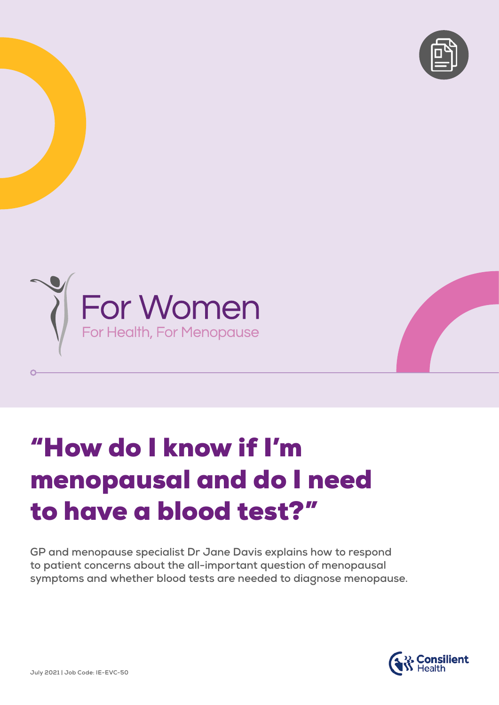



# "How do I know if I'm menopausal and do I need to have a blood test?"

**GP and menopause specialist Dr Jane Davis explains how to respond to patient concerns about the all-important question of menopausal symptoms and whether blood tests are needed to diagnose menopause.**



 $\Omega$